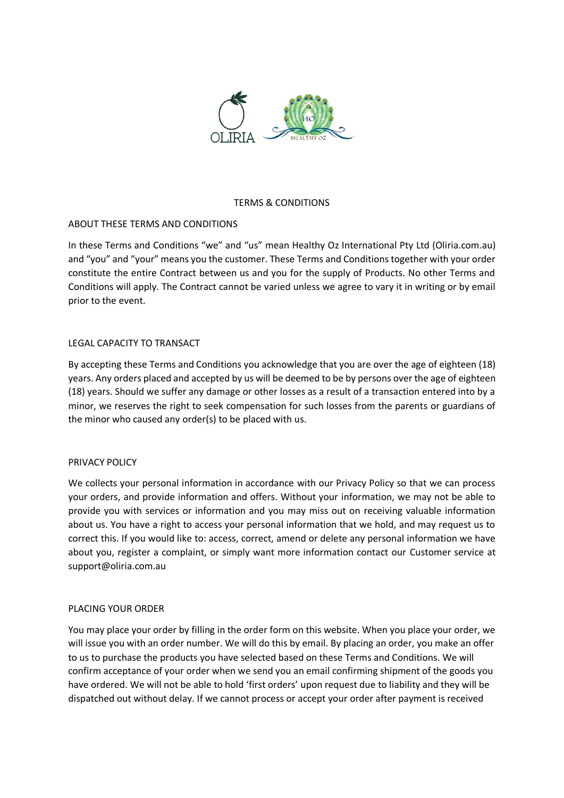

# TERMS & CONDITIONS

# ABOUT THESE TERMS AND CONDITIONS

In these Terms and Conditions "we" and "us" mean Healthy Oz International Pty Ltd (Oliria.com.au) and "you" and "your" means you the customer. These Terms and Conditions together with your order constitute the entire Contract between us and you for the supply of Products. No other Terms and Conditions will apply. The Contract cannot be varied unless we agree to vary it in writing or by email prior to the event.

# LEGAL CAPACITY TO TRANSACT

By accepting these Terms and Conditions you acknowledge that you are over the age of eighteen (18) years. Any orders placed and accepted by us will be deemed to be by persons over the age of eighteen (18) years. Should we suffer any damage or other losses as a result of a transaction entered into by a minor, we reserves the right to seek compensation for such losses from the parents or guardians of the minor who caused any order(s) to be placed with us.

## PRIVACY POLICY

We collects your personal information in accordance with our Privacy Policy so that we can process your orders, and provide information and offers. Without your information, we may not be able to provide you with services or information and you may miss out on receiving valuable information about us. You have a right to access your personal information that we hold, and may request us to correct this. If you would like to: access, correct, amend or delete any personal information we have about you, register a complaint, or simply want more information contact our Customer service at support@oliria.com.au

## PLACING YOUR ORDER

You may place your order by filling in the order form on this website. When you place your order, we will issue you with an order number. We will do this by email. By placing an order, you make an offer to us to purchase the products you have selected based on these Terms and Conditions. We will confirm acceptance of your order when we send you an email confirming shipment of the goods you have ordered. We will not be able to hold 'first orders' upon request due to liability and they will be dispatched out without delay. If we cannot process or accept your order after payment is received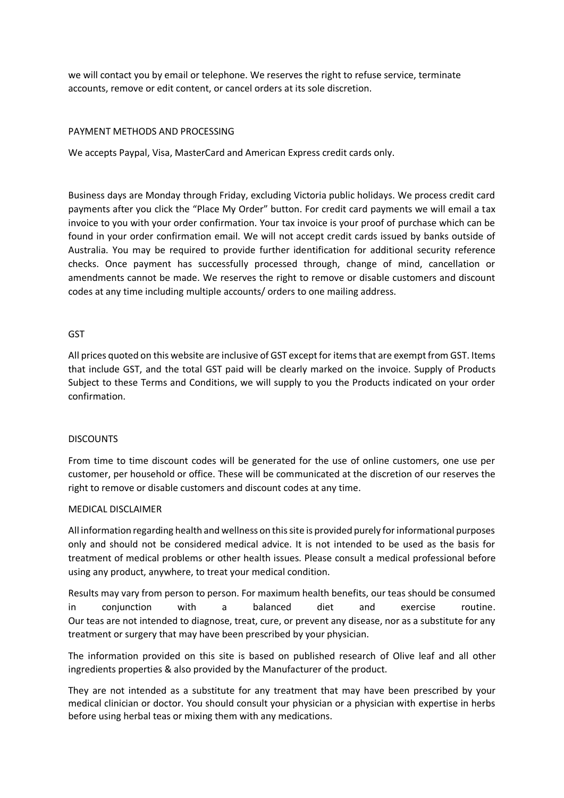we will contact you by email or telephone. We reserves the right to refuse service, terminate accounts, remove or edit content, or cancel orders at its sole discretion.

## PAYMENT METHODS AND PROCESSING

We accepts Paypal, Visa, MasterCard and American Express credit cards only.

Business days are Monday through Friday, excluding Victoria public holidays. We process credit card payments after you click the "Place My Order" button. For credit card payments we will email a tax invoice to you with your order confirmation. Your tax invoice is your proof of purchase which can be found in your order confirmation email. We will not accept credit cards issued by banks outside of Australia. You may be required to provide further identification for additional security reference checks. Once payment has successfully processed through, change of mind, cancellation or amendments cannot be made. We reserves the right to remove or disable customers and discount codes at any time including multiple accounts/ orders to one mailing address.

# **GST**

All prices quoted on this website are inclusive of GST except for items that are exempt from GST. Items that include GST, and the total GST paid will be clearly marked on the invoice. Supply of Products Subject to these Terms and Conditions, we will supply to you the Products indicated on your order confirmation.

## **DISCOUNTS**

From time to time discount codes will be generated for the use of online customers, one use per customer, per household or office. These will be communicated at the discretion of our reserves the right to remove or disable customers and discount codes at any time.

#### MEDICAL DISCLAIMER

All information regarding health and wellness on this site is provided purely for informational purposes only and should not be considered medical advice. It is not intended to be used as the basis for treatment of medical problems or other health issues. Please consult a medical professional before using any product, anywhere, to treat your medical condition.

Results may vary from person to person. For maximum health benefits, our teas should be consumed in conjunction with a balanced diet and exercise routine. Our teas are not intended to diagnose, treat, cure, or prevent any disease, nor as a substitute for any treatment or surgery that may have been prescribed by your physician.

The information provided on this site is based on published research of Olive leaf and all other ingredients properties & also provided by the Manufacturer of the product.

They are not intended as a substitute for any treatment that may have been prescribed by your medical clinician or doctor. You should consult your physician or a physician with expertise in herbs before using herbal teas or mixing them with any medications.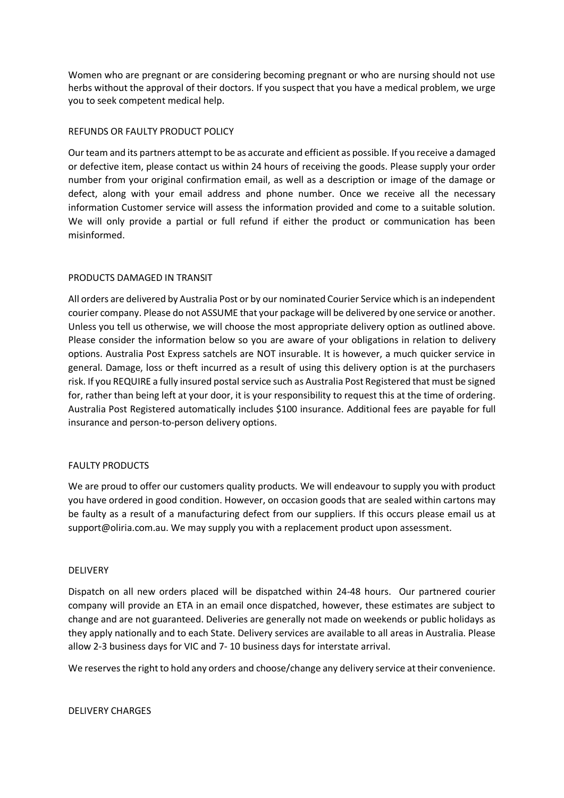Women who are pregnant or are considering becoming pregnant or who are nursing should not use herbs without the approval of their doctors. If you suspect that you have a medical problem, we urge you to seek competent medical help.

## REFUNDS OR FAULTY PRODUCT POLICY

Our team and its partners attempt to be as accurate and efficient as possible. If you receive a damaged or defective item, please contact us within 24 hours of receiving the goods. Please supply your order number from your original confirmation email, as well as a description or image of the damage or defect, along with your email address and phone number. Once we receive all the necessary information Customer service will assess the information provided and come to a suitable solution. We will only provide a partial or full refund if either the product or communication has been misinformed.

# PRODUCTS DAMAGED IN TRANSIT

All orders are delivered by Australia Post or by our nominated Courier Service which is an independent courier company. Please do not ASSUME that your package will be delivered by one service or another. Unless you tell us otherwise, we will choose the most appropriate delivery option as outlined above. Please consider the information below so you are aware of your obligations in relation to delivery options. Australia Post Express satchels are NOT insurable. It is however, a much quicker service in general. Damage, loss or theft incurred as a result of using this delivery option is at the purchasers risk. If you REQUIRE a fully insured postal service such as Australia Post Registered that must be signed for, rather than being left at your door, it is your responsibility to request this at the time of ordering. Australia Post Registered automatically includes \$100 insurance. Additional fees are payable for full insurance and person-to-person delivery options.

## FAULTY PRODUCTS

We are proud to offer our customers quality products. We will endeavour to supply you with product you have ordered in good condition. However, on occasion goods that are sealed within cartons may be faulty as a result of a manufacturing defect from our suppliers. If this occurs please email us at support@oliria.com.au. We may supply you with a replacement product upon assessment.

## DELIVERY

Dispatch on all new orders placed will be dispatched within 24-48 hours. Our partnered courier company will provide an ETA in an email once dispatched, however, these estimates are subject to change and are not guaranteed. Deliveries are generally not made on weekends or public holidays as they apply nationally and to each State. Delivery services are available to all areas in Australia. Please allow 2-3 business days for VIC and 7- 10 business days for interstate arrival.

We reserves the right to hold any orders and choose/change any delivery service at their convenience.

## DELIVERY CHARGES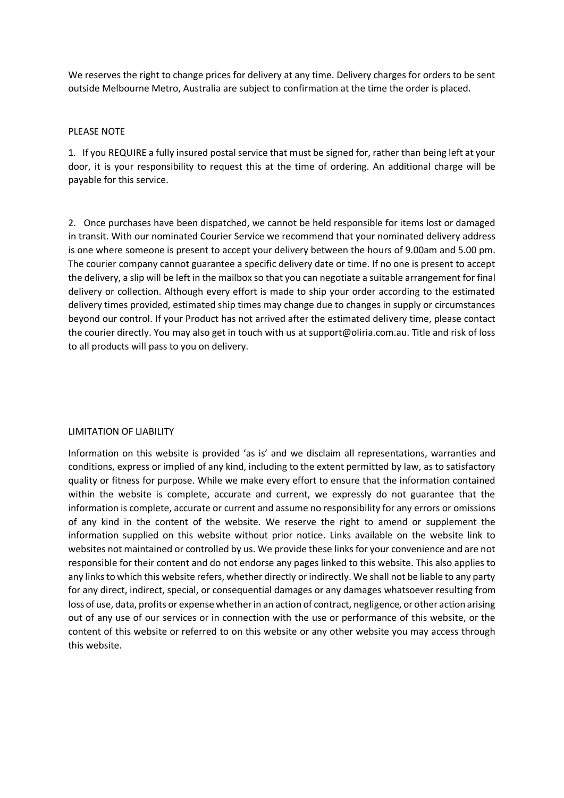We reserves the right to change prices for delivery at any time. Delivery charges for orders to be sent outside Melbourne Metro, Australia are subject to confirmation at the time the order is placed.

#### PLEASE NOTE

1. If you REQUIRE a fully insured postal service that must be signed for, rather than being left at your door, it is your responsibility to request this at the time of ordering. An additional charge will be payable for this service.

2. Once purchases have been dispatched, we cannot be held responsible for items lost or damaged in transit. With our nominated Courier Service we recommend that your nominated delivery address is one where someone is present to accept your delivery between the hours of 9.00am and 5.00 pm. The courier company cannot guarantee a specific delivery date or time. If no one is present to accept the delivery, a slip will be left in the mailbox so that you can negotiate a suitable arrangement for final delivery or collection. Although every effort is made to ship your order according to the estimated delivery times provided, estimated ship times may change due to changes in supply or circumstances beyond our control. If your Product has not arrived after the estimated delivery time, please contact the courier directly. You may also get in touch with us at support@oliria.com.au. Title and risk of loss to all products will pass to you on delivery.

## LIMITATION OF LIABILITY

Information on this website is provided 'as is' and we disclaim all representations, warranties and conditions, express or implied of any kind, including to the extent permitted by law, as to satisfactory quality or fitness for purpose. While we make every effort to ensure that the information contained within the website is complete, accurate and current, we expressly do not guarantee that the information is complete, accurate or current and assume no responsibility for any errors or omissions of any kind in the content of the website. We reserve the right to amend or supplement the information supplied on this website without prior notice. Links available on the website link to websites not maintained or controlled by us. We provide these links for your convenience and are not responsible for their content and do not endorse any pages linked to this website. This also applies to any links to which this website refers, whether directly or indirectly. We shall not be liable to any party for any direct, indirect, special, or consequential damages or any damages whatsoever resulting from loss of use, data, profits or expense whether in an action of contract, negligence, or other action arising out of any use of our services or in connection with the use or performance of this website, or the content of this website or referred to on this website or any other website you may access through this website.